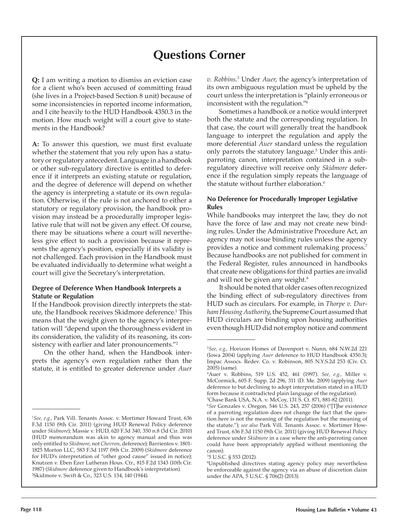# **Questions Corner**

**Q:** I am writing a motion to dismiss an eviction case for a client who's been accused of committing fraud (she lives in a Project-based Section 8 unit) because of some inconsistencies in reported income information, and I cite heavily to the HUD Handbook 4350.3 in the motion. How much weight will a court give to statements in the Handbook?

**A:** To answer this question, we must first evaluate whether the statement that you rely upon has a statutory or regulatory antecedent. Language in a handbook or other sub-regulatory directive is entitled to deference if it interprets an existing statute or regulation, and the degree of deference will depend on whether the agency is interpreting a statute or its own regulation. Otherwise, if the rule is not anchored to either a statutory or regulatory provision, the handbook provision may instead be a procedurally improper legislative rule that will not be given any effect. Of course, there may be situations where a court will nevertheless give effect to such a provision because it represents the agency's position, especially if its validity is not challenged. Each provision in the Handbook must be evaluated individually to determine what weight a court will give the Secretary's interpretation.

## **Degree of Deference When Handbook Interprets a Statute or Regulation**

If the Handbook provision directly interprets the statute, the Handbook receives Skidmore deference.<sup>1</sup> This means that the weight given to the agency's interpretation will "depend upon the thoroughness evident in its consideration, the validity of its reasoning, its consistency with earlier and later pronouncements."<sup>2</sup>

On the other hand, when the Handbook interprets the agency's own regulation rather than the statute, it is entitled to greater deference under *Auer*

*v. Robbins*. 3 Under *Auer*, the agency's interpretation of its own ambiguous regulation must be upheld by the court unless the interpretation is "plainly erroneous or inconsistent with the regulation."<sup>4</sup>

Sometimes a handbook or a notice would interpret both the statute and the corresponding regulation. In that case, the court will generally treat the handbook language to interpret the regulation and apply the more deferential *Auer* standard unless the regulation only parrots the statutory language.<sup>5</sup> Under this antiparroting canon, interpretation contained in a subregulatory directive will receive only *Skidmore* deference if the regulation simply repeats the language of the statute without further elaboration.<sup>6</sup>

## **No Deference for Procedurally Improper Legislative Rules**

While handbooks may interpret the law, they do not have the force of law and may not create new binding rules. Under the Administrative Procedure Act, an agency may not issue binding rules unless the agency provides a notice and comment rulemaking process.<sup>7</sup> Because handbooks are not published for comment in the Federal Register, rules announced in handbooks that create new obligations for third parties are invalid and will not be given any weight.<sup>8</sup>

It should be noted that older cases often recognized the binding effect of sub-regulatory directives from HUD such as circulars. For example, in *Thorpe v. Durham Housing Authority*, the Supreme Court assumed that HUD circulars are binding upon housing authorities even though HUD did not employ notice and comment

5 Chase Bank USA, N.A. v. McCoy, 131 S. Ct. 871, 881-82 (2011).

<sup>1</sup> *See, e.g.,* Park Vill. Tenants Assoc. v. Mortimer Howard Trust, 636 F.3d 1150 (9th Cir. 2011) (giving HUD Renewal Policy deference under *Skidmore*); Massie v. HUD, 620 F.3d 340, 350 n.8 (3d Cir. 2010) (HUD memorandum was akin to agency manual and thus was only entitled to *Skidmore*, not *Chevron*, deference); Barrientos v. 1801- 1825 Morton LLC, 583 F.3d 1197 (9th Cir. 2009) (*Skidmore* deference for HUD's interpretation of "other good cause" issued in notice); Knutzen v. Eben Ezer Lutheran Hous. Ctr., 815 F.2d 1343 (10th Cir. 1987) (*Skidmore* deference given to Handbook's interpretation). 2 Skidmore v. Swift & Co., 323 U.S. 134, 140 (1944).

<sup>3</sup> *See, e.g.,* Horizon Homes of Davenport v. Nunn, 684 N.W.2d 221 (Iowa 2004) (applying *Auer* deference to HUD Handbook 4350.3); Impac Assocs. Redev. Co. v. Robinson, 805 N.Y.S.2d 253 (Civ. Ct. 2005) (same).

<sup>4</sup> Auer v. Robbins, 519 U.S. 452, 461 (1997). *See, e.g.,* Miller v. McCormick, 605 F. Supp. 2d 296, 311 (D. Me. 2009) (applying *Auer* deference to but declining to adopt interpretation stated in a HUD form because it contradicted plain language of the regulation).

<sup>6</sup> *See* Gonzales v. Oregon, 546 U.S. 243, 257 (2006) ("[T]he existence of a parroting regulation does not change the fact that the question here is not the meaning of the regulation but the meaning of the statute."); *see also* Park Vill. Tenants Assoc. v. Mortimer Howard Trust, 636 F.3d 1150 (9th Cir. 2011) (giving HUD Renewal Policy deference under *Skidmore* in a case where the anti-parroting canon could have been appropriately applied without mentioning the canon).

<sup>7</sup> 5 U.S.C. § 553 (2012).

<sup>8</sup> Unpublished directives stating agency policy may nevertheless be enforceable against the agency via an abuse of discretion claim under the APA, 5 U.S.C. § 706(2) (2013).